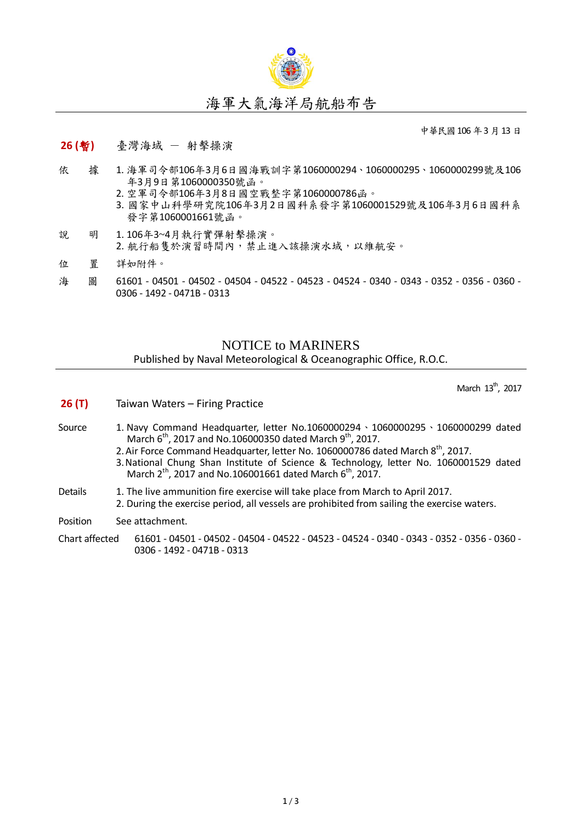

中華民國106年3月13日

## **26 (**暫**)** 臺灣海域 - 射擊操演

- 依 據 1. 海軍司令部106年3月6日國海戰訓字第1060000294、1060000295、1060000299號及106 年3月9日第1060000350號函。
	- 2. 空軍司令部106年3月8日國空戰整字第1060000786函。
	- 3. 國家中山科學研究院106年3月2日國科系發字第1060001529號及106年3月6日國科系 發字第1060001661號函。
- 說 明 1. 106年3~4月執行實彈射擊操演。 2. 航行船售於演習時間內,禁止進入該操演水域,以維航安。
- 位 置 詳如附件。
- 海 圖 61601 04501 04502 04504 04522 04523 04524 0340 0343 0352 0356 0360 -0306 - 1492 - 0471B - 0313

## NOTICE to MARINERS

Published by Naval Meteorological & Oceanographic Office, R.O.C.

March 13<sup>th</sup>, 2017

- **26 (T)** Taiwan Waters Firing Practice
- Source 1. Navy Command Headquarter, letter No.1060000294、1060000295、1060000299 dated March  $6^{th}$ , 2017 and No.106000350 dated March 9<sup>th</sup>, 2017.
	- 2. Air Force Command Headquarter, letter No. 1060000786 dated March 8<sup>th</sup>, 2017.
	- 3.National Chung Shan Institute of Science & Technology, letter No. 1060001529 dated March  $2^{th}$ , 2017 and No.106001661 dated March 6<sup>th</sup>, 2017.
- Details 1. The live ammunition fire exercise will take place from March to April 2017. 2. During the exercise period, all vessels are prohibited from sailing the exercise waters.
- Position See attachment.
- Chart affected 61601 04501 04502 04504 04522 04523 04524 0340 0343 0352 0356 0360 0306 - 1492 - 0471B - 0313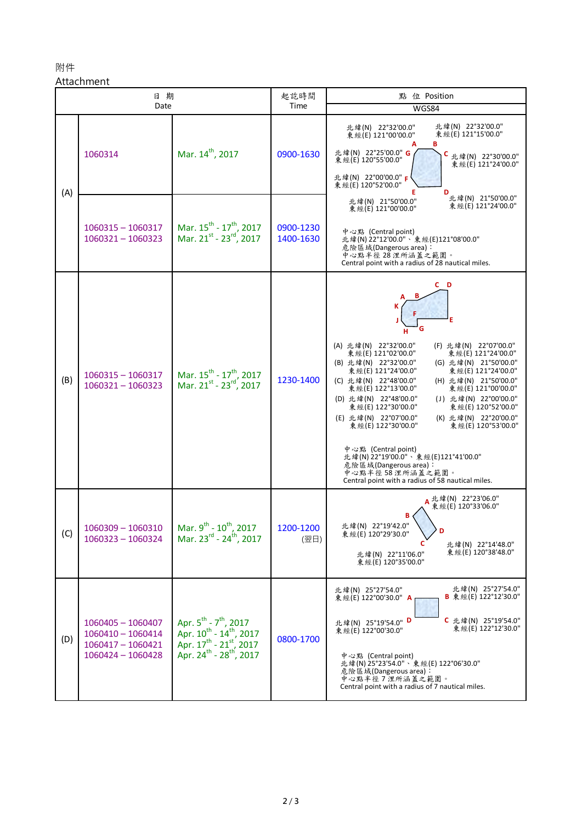## 附件

## Attachment

| 日期   |                                                                                          |                                                                                                                                                                            | 起訖時間                   | 點 位 Position                                                                                                                                                                                                                                                                                                                                                                                                                                                                                                                                                                                                                                                      |
|------|------------------------------------------------------------------------------------------|----------------------------------------------------------------------------------------------------------------------------------------------------------------------------|------------------------|-------------------------------------------------------------------------------------------------------------------------------------------------------------------------------------------------------------------------------------------------------------------------------------------------------------------------------------------------------------------------------------------------------------------------------------------------------------------------------------------------------------------------------------------------------------------------------------------------------------------------------------------------------------------|
| Date |                                                                                          |                                                                                                                                                                            | Time                   | WGS84                                                                                                                                                                                                                                                                                                                                                                                                                                                                                                                                                                                                                                                             |
| (A)  | 1060314                                                                                  | Mar. 14 <sup>th</sup> , 2017                                                                                                                                               | 0900-1630              | 北緯(N) 22°32'00.0"<br>北緯(N) 22°32'00.0"<br>東經(E) 121°15'00.0"<br>東經(E) 121°00'00.0"<br>В<br>北緯(N) 22°25'00.0" G<br>C 北緯(N) 22°30'00.0"<br>東經(E) 120°55'00.0"<br>東經(E) 121°24'00.0"<br>北緯(N) 22°00'00.0" F<br>東經(E) 120°52'00.0"                                                                                                                                                                                                                                                                                                                                                                                                                                    |
|      | $1060315 - 1060317$<br>1060321-1060323                                                   | Mar. $15^{th}$ - $17^{th}$ , 2017<br>Mar. 21 <sup>st</sup> - 23 <sup>rd</sup> , 2017                                                                                       | 0900-1230<br>1400-1630 | 北緯(N) 21°50'00.0"<br>北緯(N) 21°50'00.0"<br>東經(E) 121°24'00.0"<br>東經(E) 121°00'00.0"<br>中心點 (Central point)<br>北緯(N) 22°12'00.0"、東經(E)121°08'00.0"<br>危險區域(Dangerous area):<br>中心點半徑 28 浬所涵蓋之範圍。<br>Central point with a radius of 28 nautical miles.                                                                                                                                                                                                                                                                                                                                                                                                               |
| (B)  | 1060315 - 1060317<br>1060321-1060323                                                     | Mar. $15^{th}$ - $17^{th}$ , 2017<br>Mar. 21 <sup>st</sup> - 23 <sup>rd</sup> , 2017                                                                                       | 1230-1400              | $C$ D<br>G<br>(A) 北緯(N) 22°32'00.0"<br>(F) 北緯(N) 22°07'00.0"<br>東經(E) 121°02'00.0"<br>東經(E) 121°24'00.0"<br>(B) 北緯(N) 22°32'00.0"<br>(G) 北緯(N) 21°50'00.0"<br>東經(E) 121°24'00.0"<br>東經(E) 121°24'00.0"<br>(C) 北緯(N) 22°48'00.0"<br>(H) 北緯(N) 21°50'00.0"<br>東經(E) 122°13'00.0"<br>東經(E) 121°00'00.0"<br>(D) 北緯(N) 22°48'00.0"<br>(J) 北緯(N) 22°00'00.0"<br>東經(E) 122°30'00.0"<br>東經(E) 120°52'00.0"<br>(E) 北緯(N) 22°07'00.0"<br>(K) 北緯(N) 22°20'00.0"<br>東經(E) 122°30'00.0"<br>東經(E) 120°53'00.0"<br>中心點 (Central point)<br>北緯(N) 22°19'00.0"、東經(E)121°41'00.0"<br>危險區域(Dangerous area):<br>中心點半徑 58 浬所涵蓋之範圍。<br>Central point with a radius of 58 nautical miles. |
| (C)  | $1060309 - 1060310$<br>$1060323 - 1060324$                                               | Mar. $9^{th}$ - $10^{th}$ , 2017<br>Mar. $23^{rd}$ - $24^{th}$ , 2017                                                                                                      | 1200-1200<br>(翌日)      | A 北緯(N) 22°23'06.0"<br>東經(E) 120°33'06.0"<br>北緯(N) 22°19'42.0'<br>2D<br>東經(E) 120°29'30.0"<br>北緯(N) 22°14'48.0"<br>東經(E) 120°38'48.0"<br>北緯(N) 22°11'06.0"<br>東經(E) 120°35'00.0"                                                                                                                                                                                                                                                                                                                                                                                                                                                                                  |
| (D)  | $1060405 - 1060407$<br>$1060410 - 1060414$<br>$1060417 - 1060421$<br>$1060424 - 1060428$ | Apr. $5^{th}$ - $7^{th}$ , 2017<br>Apr. $10^{th}$ - $14^{th}$ , 2017<br>Apr. $17^{\text{th}}$ - $21^{\text{st}}$ , 2017<br>Apr. 24 <sup>th</sup> - 28 <sup>th</sup> , 2017 | 0800-1700              | 北緯(N) 25°27'54.0"<br>北緯(N) 25°27'54.0"<br>B 東經(E) 122°12'30.0"<br>東經(E) 122°00'30.0" A<br>C 北緯(N) 25°19'54.0"<br>北緯(N) 25°19'54.0" D<br>東經(E) 122°12'30.0"<br>東經(E) 122°00'30.0"<br>中心點 (Central point)<br>北緯(N) 25°23'54.0"、東經(E) 122°06'30.0"<br>危險區域(Dangerous area):<br>中心點半徑7浬所涵蓋之範圍。<br>Central point with a radius of 7 nautical miles.                                                                                                                                                                                                                                                                                                                    |